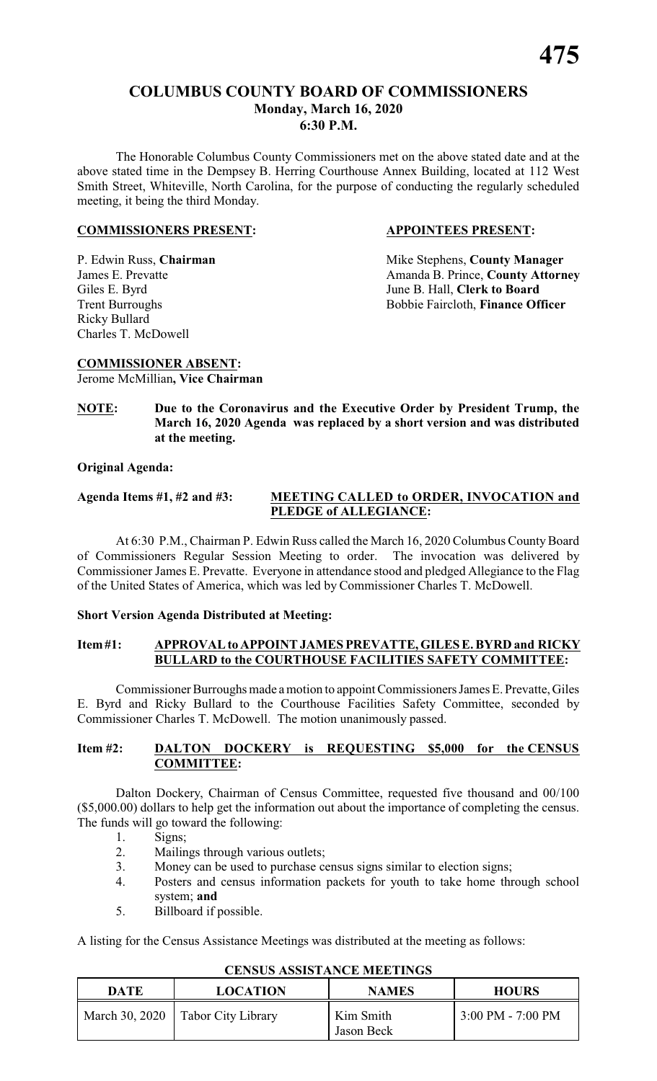# **COLUMBUS COUNTY BOARD OF COMMISSIONERS Monday, March 16, 2020 6:30 P.M.**

The Honorable Columbus County Commissioners met on the above stated date and at the above stated time in the Dempsey B. Herring Courthouse Annex Building, located at 112 West Smith Street, Whiteville, North Carolina, for the purpose of conducting the regularly scheduled meeting, it being the third Monday.

#### **COMMISSIONERS PRESENT: APPOINTEES PRESENT:**

Ricky Bullard Charles T. McDowell

P. Edwin Russ, **Chairman** Mike Stephens, **County Manager**<br>
James E. Prevatte **Manager**<br>
Amanda B. Prince. **County Attorn** Amanda B. Prince, **County Attorney** Giles E. Byrd<br>
Trent Burroughs<br>
Trent Burroughs<br>
Sobbie Faircloth, Finance Of Bobbie Faircloth, Finance Officer

**NOTE: Due to the Coronavirus and the Executive Order by President Trump, the March 16, 2020 Agenda was replaced by a short version and was distributed at the meeting.**

# **Original Agenda:**

**COMMISSIONER ABSENT:** Jerome McMillian**, Vice Chairman**

#### **Agenda Items #1, #2 and #3: MEETING CALLED to ORDER, INVOCATION and PLEDGE of ALLEGIANCE:**

At 6:30 P.M., Chairman P. Edwin Russ called the March 16, 2020 Columbus County Board of Commissioners Regular Session Meeting to order. The invocation was delivered by Commissioner James E. Prevatte. Everyone in attendance stood and pledged Allegiance to the Flag of the United States of America, which was led by Commissioner Charles T. McDowell.

# **Short Version Agenda Distributed at Meeting:**

# **Item#1: APPROVAL to APPOINT JAMES PREVATTE, GILESE. BYRD and RICKY BULLARD to the COURTHOUSE FACILITIES SAFETY COMMITTEE:**

Commissioner Burroughs made a motion to appoint Commissioners James E. Prevatte, Giles E. Byrd and Ricky Bullard to the Courthouse Facilities Safety Committee, seconded by Commissioner Charles T. McDowell. The motion unanimously passed.

### **Item #2: DALTON DOCKERY is REQUESTING \$5,000 for the CENSUS COMMITTEE:**

Dalton Dockery, Chairman of Census Committee, requested five thousand and 00/100 (\$5,000.00) dollars to help get the information out about the importance of completing the census. The funds will go toward the following:

- 1. Signs;<br>2. Mailin
- Mailings through various outlets;
- 3. Money can be used to purchase census signs similar to election signs;
- 4. Posters and census information packets for youth to take home through school system; **and**
- 5. Billboard if possible.

A listing for the Census Assistance Meetings was distributed at the meeting as follows:

| DATE | <b>LOCATION</b>                     | <b>NAMES</b>            | <b>HOURS</b>        |
|------|-------------------------------------|-------------------------|---------------------|
|      | March 30, 2020   Tabor City Library | Kim Smith<br>Jason Beck | $3:00$ PM - 7:00 PM |

# **CENSUS ASSISTANCE MEETINGS**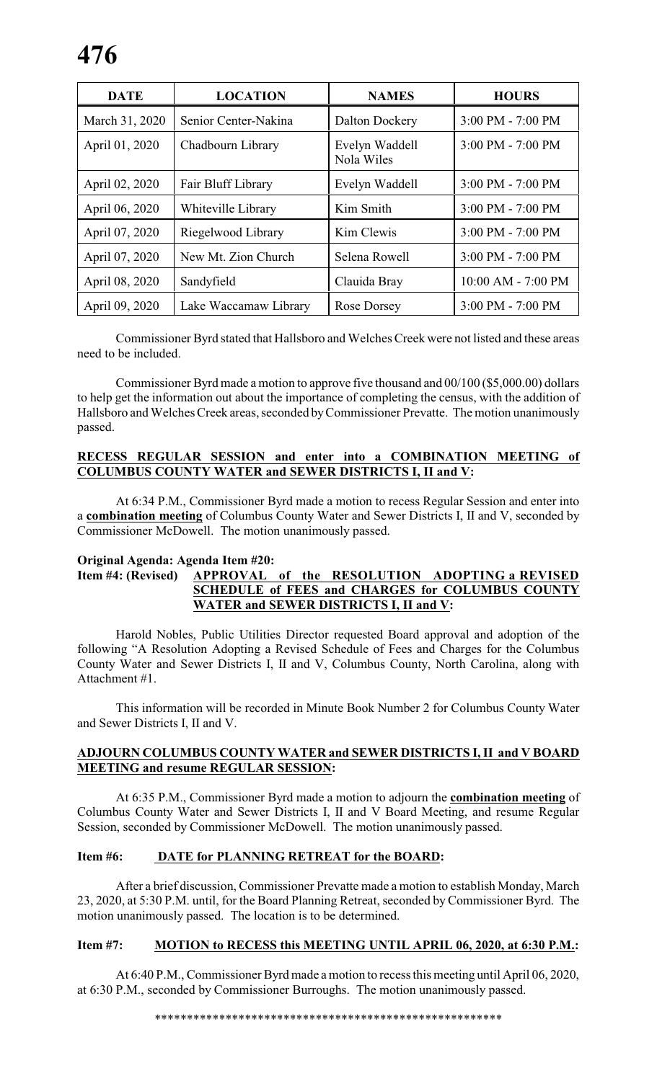| <b>DATE</b>    | <b>LOCATION</b>       | <b>NAMES</b>                 | <b>HOURS</b>          |
|----------------|-----------------------|------------------------------|-----------------------|
| March 31, 2020 | Senior Center-Nakina  | Dalton Dockery               | 3:00 PM - 7:00 PM     |
| April 01, 2020 | Chadbourn Library     | Evelyn Waddell<br>Nola Wiles | 3:00 PM - 7:00 PM     |
| April 02, 2020 | Fair Bluff Library    | Evelyn Waddell               | $3:00$ PM - $7:00$ PM |
| April 06, 2020 | Whiteville Library    | Kim Smith                    | 3:00 PM - 7:00 PM     |
| April 07, 2020 | Riegelwood Library    | Kim Clewis                   | $3:00$ PM - $7:00$ PM |
| April 07, 2020 | New Mt. Zion Church   | Selena Rowell                | 3:00 PM - 7:00 PM     |
| April 08, 2020 | Sandyfield            | Clauida Bray                 | 10:00 AM - 7:00 PM    |
| April 09, 2020 | Lake Waccamaw Library | Rose Dorsey                  | 3:00 PM - 7:00 PM     |

Commissioner Byrd stated that Hallsboro and Welches Creek were not listed and these areas need to be included.

Commissioner Byrd made a motion to approve five thousand and 00/100 (\$5,000.00) dollars to help get the information out about the importance of completing the census, with the addition of Hallsboro and Welches Creek areas, seconded byCommissioner Prevatte. The motion unanimously passed.

# **RECESS REGULAR SESSION and enter into a COMBINATION MEETING of COLUMBUS COUNTY WATER and SEWER DISTRICTS I, II and V:**

At 6:34 P.M., Commissioner Byrd made a motion to recess Regular Session and enter into a **combination meeting** of Columbus County Water and Sewer Districts I, II and V, seconded by Commissioner McDowell. The motion unanimously passed.

# **Original Agenda: Agenda Item #20:**

## **Item #4: (Revised) APPROVAL of the RESOLUTION ADOPTING a REVISED SCHEDULE of FEES and CHARGES for COLUMBUS COUNTY WATER and SEWER DISTRICTS I, II and V:**

Harold Nobles, Public Utilities Director requested Board approval and adoption of the following "A Resolution Adopting a Revised Schedule of Fees and Charges for the Columbus County Water and Sewer Districts I, II and V, Columbus County, North Carolina, along with Attachment #1.

This information will be recorded in Minute Book Number 2 for Columbus County Water and Sewer Districts I, II and V.

# **ADJOURN COLUMBUS COUNTY WATER and SEWER DISTRICTS I, II and V BOARD MEETING and resume REGULAR SESSION:**

At 6:35 P.M., Commissioner Byrd made a motion to adjourn the **combination meeting** of Columbus County Water and Sewer Districts I, II and V Board Meeting, and resume Regular Session, seconded by Commissioner McDowell. The motion unanimously passed.

#### **Item #6: DATE for PLANNING RETREAT for the BOARD:**

After a brief discussion, Commissioner Prevatte made a motion to establish Monday, March 23, 2020, at 5:30 P.M. until, for the Board Planning Retreat, seconded by Commissioner Byrd. The motion unanimously passed. The location is to be determined.

### **Item #7: MOTION to RECESS this MEETING UNTIL APRIL 06, 2020, at 6:30 P.M.:**

At 6:40 P.M., Commissioner Byrd made a motion to recess this meeting until April 06, 2020, at 6:30 P.M., seconded by Commissioner Burroughs. The motion unanimously passed.

\*\*\*\*\*\*\*\*\*\*\*\*\*\*\*\*\*\*\*\*\*\*\*\*\*\*\*\*\*\*\*\*\*\*\*\*\*\*\*\*\*\*\*\*\*\*\*\*\*\*\*\*\*\*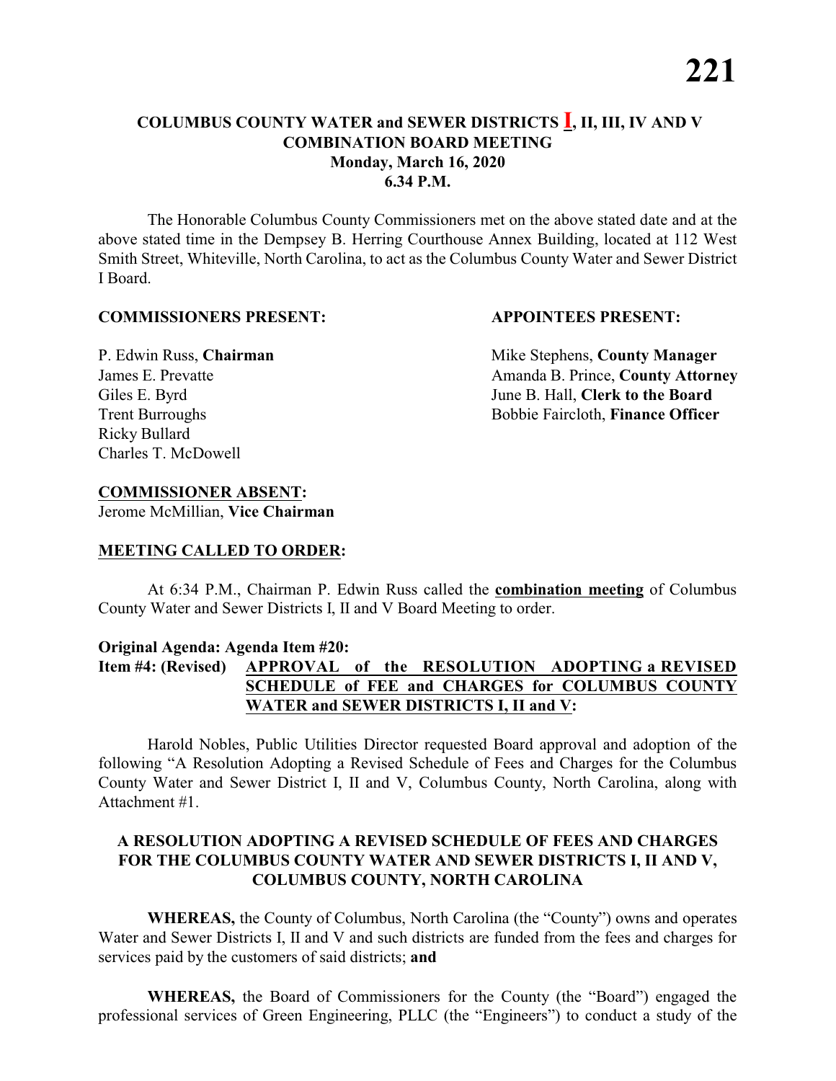## **COLUMBUS COUNTY WATER and SEWER DISTRICTS I, II, III, IV AND V COMBINATION BOARD MEETING Monday, March 16, 2020 6.34 P.M.**

The Honorable Columbus County Commissioners met on the above stated date and at the above stated time in the Dempsey B. Herring Courthouse Annex Building, located at 112 West Smith Street, Whiteville, North Carolina, to act as the Columbus County Water and Sewer District I Board.

#### **COMMISSIONERS PRESENT: APPOINTEES PRESENT:**

Ricky Bullard Charles T. McDowell

P. Edwin Russ, **Chairman** Mike Stephens, **County Manager** James E. Prevatte **Amanda B. Prince**, **County Attorney** Giles E. Byrd June B. Hall, **Clerk to the Board** Trent Burroughs Bobbie Faircloth, **Finance Officer** 

### **COMMISSIONER ABSENT:**

Jerome McMillian, **Vice Chairman**

#### **MEETING CALLED TO ORDER:**

At 6:34 P.M., Chairman P. Edwin Russ called the **combination meeting** of Columbus County Water and Sewer Districts I, II and V Board Meeting to order.

#### **Original Agenda: Agenda Item #20:**

# **Item #4: (Revised) APPROVAL of the RESOLUTION ADOPTING a REVISED SCHEDULE of FEE and CHARGES for COLUMBUS COUNTY WATER and SEWER DISTRICTS I, II and V:**

Harold Nobles, Public Utilities Director requested Board approval and adoption of the following "A Resolution Adopting a Revised Schedule of Fees and Charges for the Columbus County Water and Sewer District I, II and V, Columbus County, North Carolina, along with Attachment #1.

#### **A RESOLUTION ADOPTING A REVISED SCHEDULE OF FEES AND CHARGES FOR THE COLUMBUS COUNTY WATER AND SEWER DISTRICTS I, II AND V, COLUMBUS COUNTY, NORTH CAROLINA**

**WHEREAS,** the County of Columbus, North Carolina (the "County") owns and operates Water and Sewer Districts I, II and V and such districts are funded from the fees and charges for services paid by the customers of said districts; **and**

**WHEREAS,** the Board of Commissioners for the County (the "Board") engaged the professional services of Green Engineering, PLLC (the "Engineers") to conduct a study of the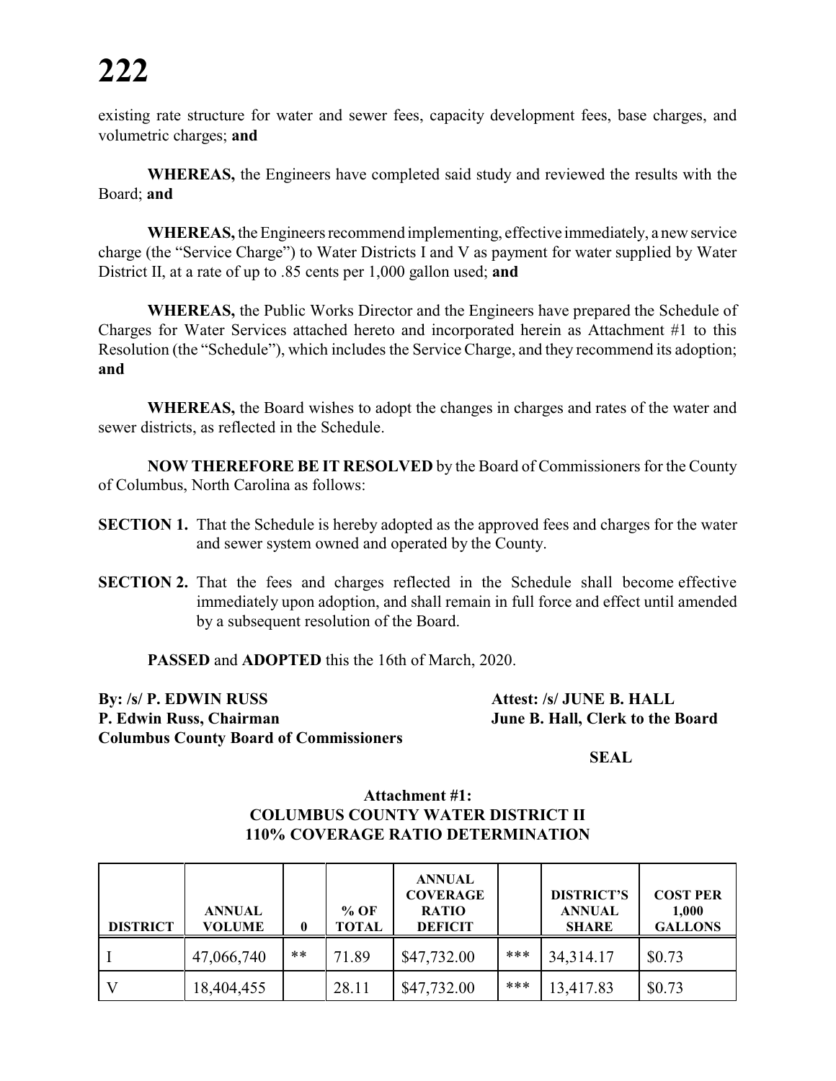# **222**

existing rate structure for water and sewer fees, capacity development fees, base charges, and volumetric charges; **and** 

**WHEREAS,** the Engineers have completed said study and reviewed the results with the Board; **and**

**WHEREAS,** the Engineers recommend implementing, effective immediately, a new service charge (the "Service Charge") to Water Districts I and V as payment for water supplied by Water District II, at a rate of up to .85 cents per 1,000 gallon used; **and**

**WHEREAS,** the Public Works Director and the Engineers have prepared the Schedule of Charges for Water Services attached hereto and incorporated herein as Attachment #1 to this Resolution (the "Schedule"), which includes the Service Charge, and they recommend its adoption; **and**

**WHEREAS,** the Board wishes to adopt the changes in charges and rates of the water and sewer districts, as reflected in the Schedule.

**NOW THEREFORE BE IT RESOLVED** by the Board of Commissioners for the County of Columbus, North Carolina as follows:

- **SECTION 1.** That the Schedule is hereby adopted as the approved fees and charges for the water and sewer system owned and operated by the County.
- **SECTION 2.** That the fees and charges reflected in the Schedule shall become effective immediately upon adoption, and shall remain in full force and effect until amended by a subsequent resolution of the Board.

**PASSED** and **ADOPTED** this the 16th of March, 2020.

**By: /s/ P. EDWIN RUSS Attest: /s/ JUNE B. HALL P. Edwin Russ, Chairman June B. Hall, Clerk to the Board Columbus County Board of Commissioners**

**SEAL**

#### **Attachment #1: COLUMBUS COUNTY WATER DISTRICT II 110% COVERAGE RATIO DETERMINATION**

| <b>DISTRICT</b> | <b>ANNUAL</b><br><b>VOLUME</b> | 0     | $%$ OF<br><b>TOTAL</b> | <b>ANNUAL</b><br><b>COVERAGE</b><br><b>RATIO</b><br><b>DEFICIT</b> |       | <b>DISTRICT'S</b><br><b>ANNUAL</b><br><b>SHARE</b> | <b>COST PER</b><br>1,000<br><b>GALLONS</b> |
|-----------------|--------------------------------|-------|------------------------|--------------------------------------------------------------------|-------|----------------------------------------------------|--------------------------------------------|
|                 | 47,066,740                     | $***$ | 71.89                  | \$47,732.00                                                        | ***   | 34,314.17                                          | \$0.73                                     |
|                 | 18,404,455                     |       | 28.11                  | \$47,732.00                                                        | $***$ | 13,417.83                                          | \$0.73                                     |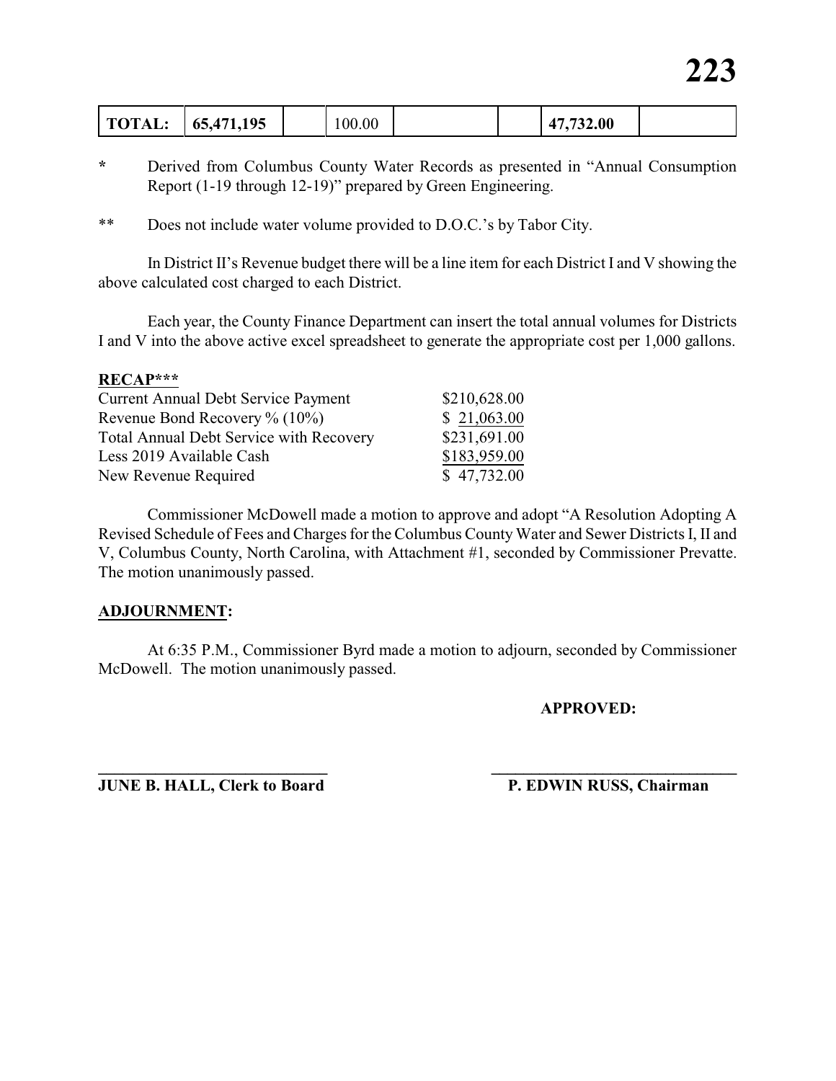| 65,471,195<br><b>TOTAL:</b> | 100.00 |  | 47,732.00 |  |
|-----------------------------|--------|--|-----------|--|
|-----------------------------|--------|--|-----------|--|

- **\*** Derived from Columbus County Water Records as presented in "Annual Consumption Report (1-19 through 12-19)" prepared by Green Engineering.
- \*\* Does not include water volume provided to D.O.C.'s by Tabor City.

In District II's Revenue budget there will be a line item for each District I and V showing the above calculated cost charged to each District.

Each year, the County Finance Department can insert the total annual volumes for Districts I and V into the above active excel spreadsheet to generate the appropriate cost per 1,000 gallons.

#### **RECAP\*\*\***

| <b>Current Annual Debt Service Payment</b>     | \$210,628.00 |
|------------------------------------------------|--------------|
| Revenue Bond Recovery $\%$ (10%)               | \$21,063.00  |
| <b>Total Annual Debt Service with Recovery</b> | \$231,691.00 |
| Less 2019 Available Cash                       | \$183,959.00 |
| New Revenue Required                           | \$47,732.00  |

Commissioner McDowell made a motion to approve and adopt "A Resolution Adopting A Revised Schedule of Fees and Charges for the Columbus CountyWater and Sewer Districts I, II and V, Columbus County, North Carolina, with Attachment #1, seconded by Commissioner Prevatte. The motion unanimously passed.

#### **ADJOURNMENT:**

At 6:35 P.M., Commissioner Byrd made a motion to adjourn, seconded by Commissioner McDowell. The motion unanimously passed.

**\_\_\_\_\_\_\_\_\_\_\_\_\_\_\_\_\_\_\_\_\_\_\_\_\_\_\_\_ \_\_\_\_\_\_\_\_\_\_\_\_\_\_\_\_\_\_\_\_\_\_\_\_\_\_\_\_\_\_\_**

**APPROVED:**

**JUNE B. HALL, Clerk to Board P. EDWIN RUSS, Chairman**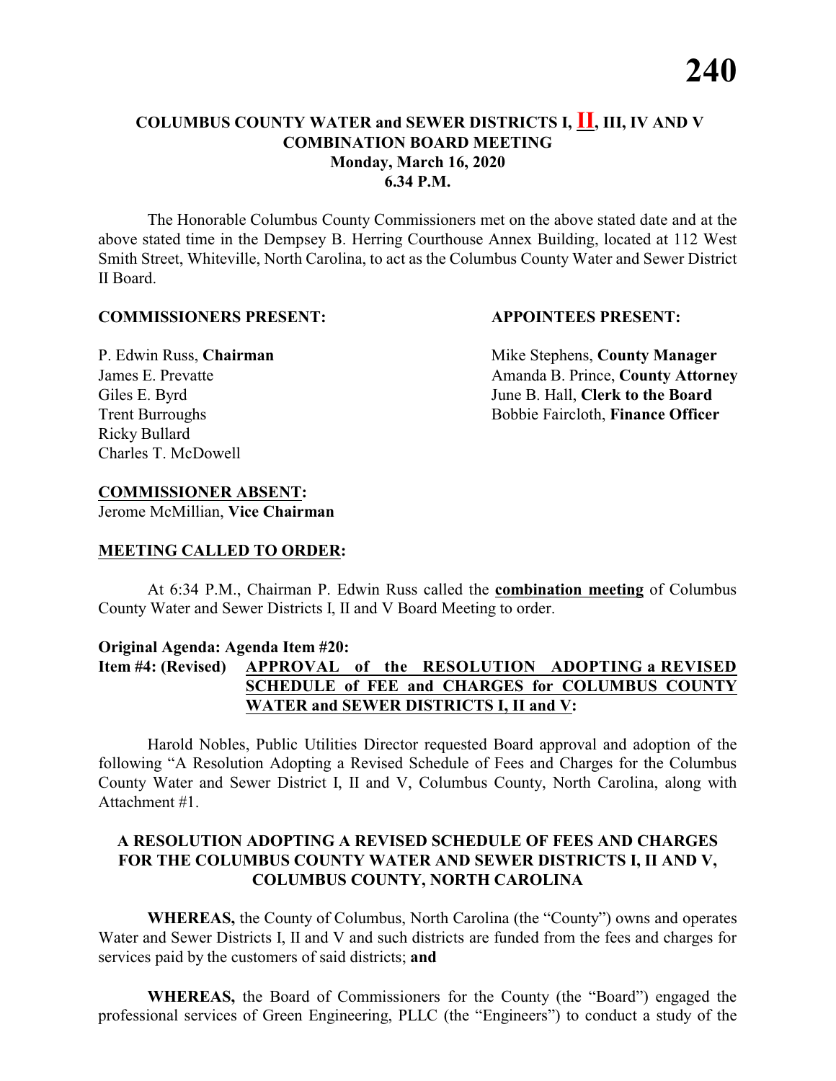## **COLUMBUS COUNTY WATER and SEWER DISTRICTS I, II, III, IV AND V COMBINATION BOARD MEETING Monday, March 16, 2020 6.34 P.M.**

The Honorable Columbus County Commissioners met on the above stated date and at the above stated time in the Dempsey B. Herring Courthouse Annex Building, located at 112 West Smith Street, Whiteville, North Carolina, to act as the Columbus County Water and Sewer District II Board.

#### **COMMISSIONERS PRESENT: APPOINTEES PRESENT:**

Ricky Bullard Charles T. McDowell

P. Edwin Russ, **Chairman** Mike Stephens, **County Manager** James E. Prevatte **Amanda B. Prince**, **County Attorney** Giles E. Byrd June B. Hall, **Clerk to the Board** Trent Burroughs Bobbie Faircloth, **Finance Officer** 

### **COMMISSIONER ABSENT:**

Jerome McMillian, **Vice Chairman**

#### **MEETING CALLED TO ORDER:**

At 6:34 P.M., Chairman P. Edwin Russ called the **combination meeting** of Columbus County Water and Sewer Districts I, II and V Board Meeting to order.

#### **Original Agenda: Agenda Item #20:**

# **Item #4: (Revised) APPROVAL of the RESOLUTION ADOPTING a REVISED SCHEDULE of FEE and CHARGES for COLUMBUS COUNTY WATER and SEWER DISTRICTS I, II and V:**

Harold Nobles, Public Utilities Director requested Board approval and adoption of the following "A Resolution Adopting a Revised Schedule of Fees and Charges for the Columbus County Water and Sewer District I, II and V, Columbus County, North Carolina, along with Attachment #1.

#### **A RESOLUTION ADOPTING A REVISED SCHEDULE OF FEES AND CHARGES FOR THE COLUMBUS COUNTY WATER AND SEWER DISTRICTS I, II AND V, COLUMBUS COUNTY, NORTH CAROLINA**

**WHEREAS,** the County of Columbus, North Carolina (the "County") owns and operates Water and Sewer Districts I, II and V and such districts are funded from the fees and charges for services paid by the customers of said districts; **and**

**WHEREAS,** the Board of Commissioners for the County (the "Board") engaged the professional services of Green Engineering, PLLC (the "Engineers") to conduct a study of the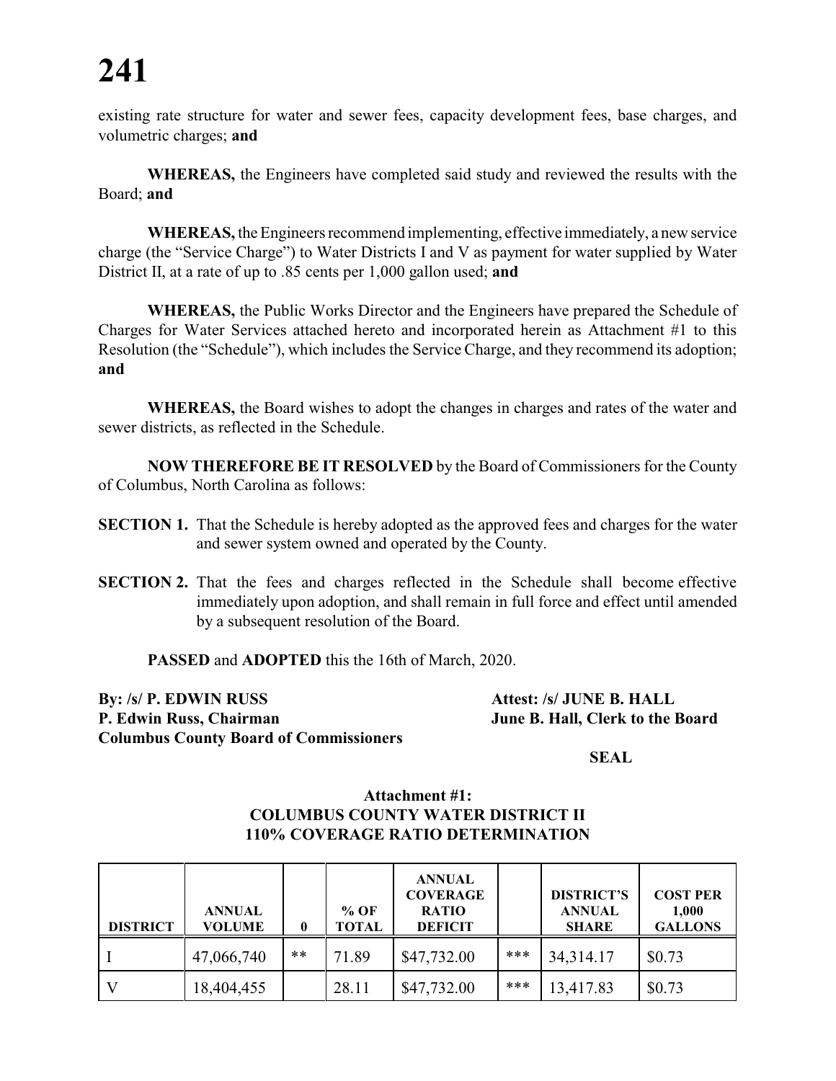# **241**

existing rate structure for water and sewer fees, capacity development fees, base charges, and volumetric charges; **and** 

**WHEREAS,** the Engineers have completed said study and reviewed the results with the Board; **and**

**WHEREAS,** the Engineers recommend implementing, effective immediately, a new service charge (the "Service Charge") to Water Districts I and V as payment for water supplied by Water District II, at a rate of up to .85 cents per 1,000 gallon used; **and**

**WHEREAS,** the Public Works Director and the Engineers have prepared the Schedule of Charges for Water Services attached hereto and incorporated herein as Attachment #1 to this Resolution (the "Schedule"), which includes the Service Charge, and they recommend its adoption; **and**

**WHEREAS,** the Board wishes to adopt the changes in charges and rates of the water and sewer districts, as reflected in the Schedule.

**NOW THEREFORE BE IT RESOLVED** by the Board of Commissioners for the County of Columbus, North Carolina as follows:

- **SECTION 1.** That the Schedule is hereby adopted as the approved fees and charges for the water and sewer system owned and operated by the County.
- **SECTION 2.** That the fees and charges reflected in the Schedule shall become effective immediately upon adoption, and shall remain in full force and effect until amended by a subsequent resolution of the Board.

**PASSED** and **ADOPTED** this the 16th of March, 2020.

**By: /s/ P. EDWIN RUSS Attest: /s/ JUNE B. HALL P. Edwin Russ, Chairman June B. Hall, Clerk to the Board Columbus County Board of Commissioners**

**SEAL**

#### **Attachment #1: COLUMBUS COUNTY WATER DISTRICT II 110% COVERAGE RATIO DETERMINATION**

| <b>DISTRICT</b> | <b>ANNUAL</b><br><b>VOLUME</b> | 0     | $%$ OF<br>TOTAL | <b>ANNUAL</b><br><b>COVERAGE</b><br><b>RATIO</b><br><b>DEFICIT</b> |       | <b>DISTRICT'S</b><br><b>ANNUAL</b><br><b>SHARE</b> | <b>COST PER</b><br>1,000<br><b>GALLONS</b> |
|-----------------|--------------------------------|-------|-----------------|--------------------------------------------------------------------|-------|----------------------------------------------------|--------------------------------------------|
|                 | 47,066,740                     | $***$ | 71.89           | \$47,732.00                                                        | ***   | 34, 314. 17                                        | \$0.73                                     |
|                 | 18,404,455                     |       | 28.11           | \$47,732.00                                                        | $***$ | 13,417.83                                          | \$0.73                                     |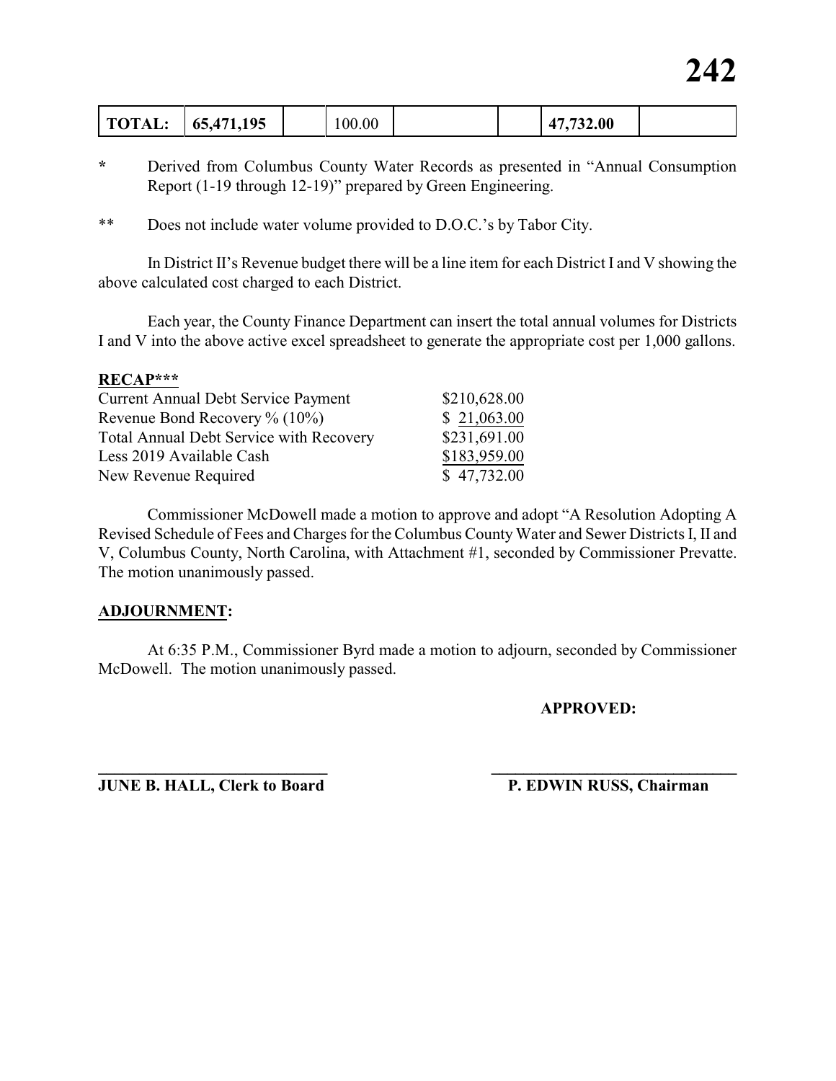| 65,471,195<br><b>TOTAL.</b> | 0.001 |  | 47,732.00 |  |
|-----------------------------|-------|--|-----------|--|
|-----------------------------|-------|--|-----------|--|

- **\*** Derived from Columbus County Water Records as presented in "Annual Consumption Report (1-19 through 12-19)" prepared by Green Engineering.
- \*\* Does not include water volume provided to D.O.C.'s by Tabor City.

In District II's Revenue budget there will be a line item for each District I and V showing the above calculated cost charged to each District.

Each year, the County Finance Department can insert the total annual volumes for Districts I and V into the above active excel spreadsheet to generate the appropriate cost per 1,000 gallons.

#### **RECAP\*\*\***

| <b>Current Annual Debt Service Payment</b>     | \$210,628.00 |
|------------------------------------------------|--------------|
| Revenue Bond Recovery $\%$ (10%)               | \$21,063.00  |
| <b>Total Annual Debt Service with Recovery</b> | \$231,691.00 |
| Less 2019 Available Cash                       | \$183,959.00 |
| New Revenue Required                           | \$47,732.00  |

Commissioner McDowell made a motion to approve and adopt "A Resolution Adopting A Revised Schedule of Fees and Charges for the Columbus CountyWater and Sewer Districts I, II and V, Columbus County, North Carolina, with Attachment #1, seconded by Commissioner Prevatte. The motion unanimously passed.

#### **ADJOURNMENT:**

At 6:35 P.M., Commissioner Byrd made a motion to adjourn, seconded by Commissioner McDowell. The motion unanimously passed.

**\_\_\_\_\_\_\_\_\_\_\_\_\_\_\_\_\_\_\_\_\_\_\_\_\_\_\_\_ \_\_\_\_\_\_\_\_\_\_\_\_\_\_\_\_\_\_\_\_\_\_\_\_\_\_\_\_\_\_\_**

**APPROVED:**

**JUNE B. HALL, Clerk to Board P. EDWIN RUSS, Chairman**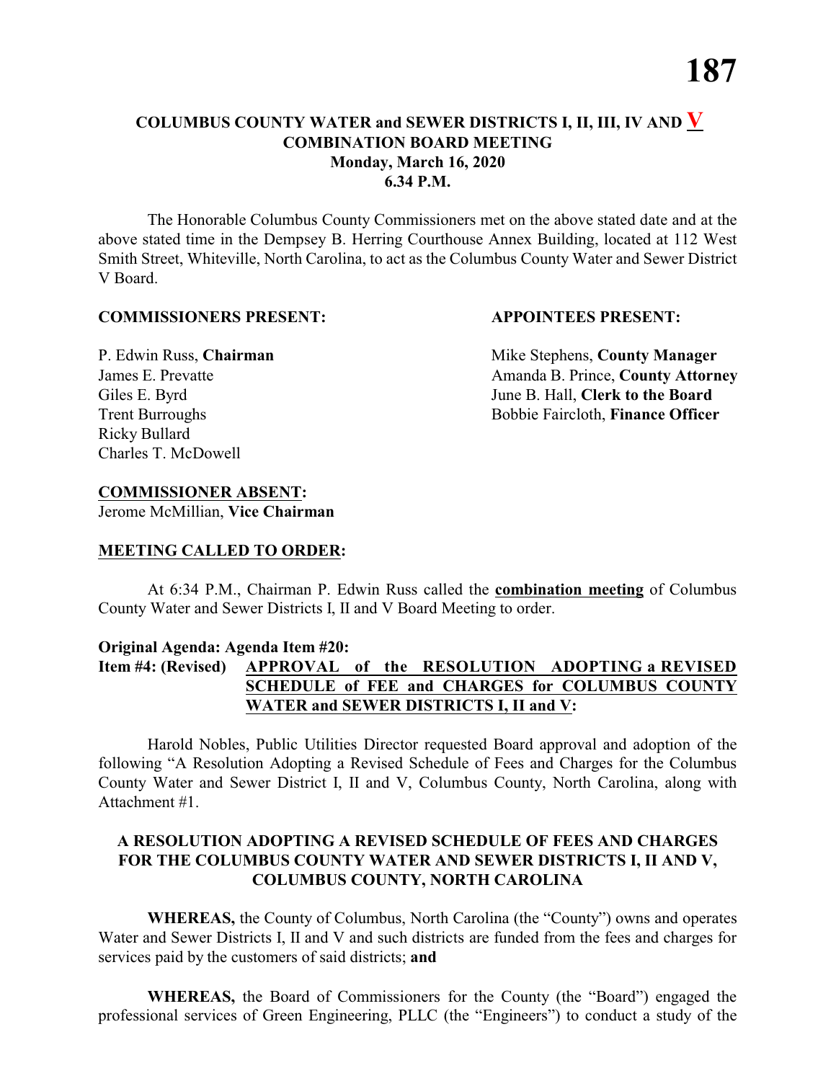# **COLUMBUS COUNTY WATER and SEWER DISTRICTS I, II, III, IV AND V COMBINATION BOARD MEETING Monday, March 16, 2020 6.34 P.M.**

The Honorable Columbus County Commissioners met on the above stated date and at the above stated time in the Dempsey B. Herring Courthouse Annex Building, located at 112 West Smith Street, Whiteville, North Carolina, to act as the Columbus County Water and Sewer District V Board.

#### **COMMISSIONERS PRESENT: APPOINTEES PRESENT:**

Ricky Bullard Charles T. McDowell

P. Edwin Russ, **Chairman** Mike Stephens, **County Manager** James E. Prevatte **Amanda B. Prince**, **County Attorney** Giles E. Byrd June B. Hall, **Clerk to the Board** Trent Burroughs Bobbie Faircloth, **Finance Officer** 

# **COMMISSIONER ABSENT:**

Jerome McMillian, **Vice Chairman**

### **MEETING CALLED TO ORDER:**

At 6:34 P.M., Chairman P. Edwin Russ called the **combination meeting** of Columbus County Water and Sewer Districts I, II and V Board Meeting to order.

### **Original Agenda: Agenda Item #20:**

# **Item #4: (Revised) APPROVAL of the RESOLUTION ADOPTING a REVISED SCHEDULE of FEE and CHARGES for COLUMBUS COUNTY WATER and SEWER DISTRICTS I, II and V:**

Harold Nobles, Public Utilities Director requested Board approval and adoption of the following "A Resolution Adopting a Revised Schedule of Fees and Charges for the Columbus County Water and Sewer District I, II and V, Columbus County, North Carolina, along with Attachment #1.

### **A RESOLUTION ADOPTING A REVISED SCHEDULE OF FEES AND CHARGES FOR THE COLUMBUS COUNTY WATER AND SEWER DISTRICTS I, II AND V, COLUMBUS COUNTY, NORTH CAROLINA**

**WHEREAS,** the County of Columbus, North Carolina (the "County") owns and operates Water and Sewer Districts I, II and V and such districts are funded from the fees and charges for services paid by the customers of said districts; **and**

**WHEREAS,** the Board of Commissioners for the County (the "Board") engaged the professional services of Green Engineering, PLLC (the "Engineers") to conduct a study of the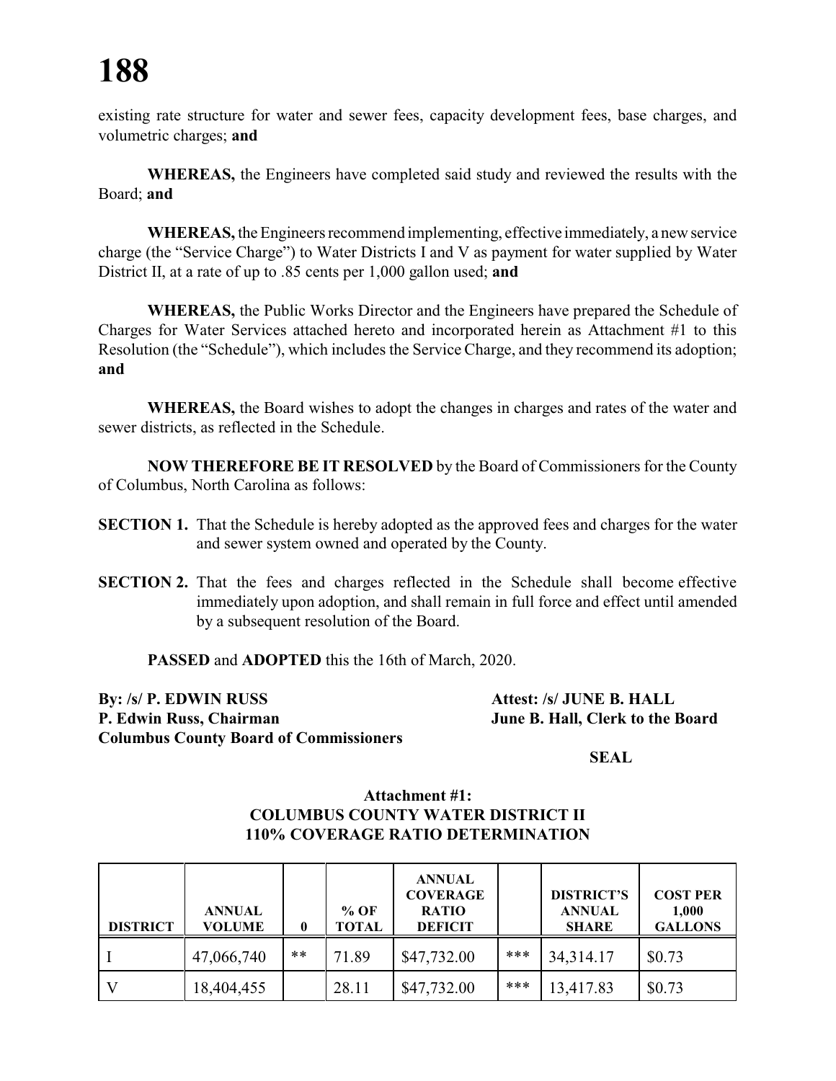# **188**

existing rate structure for water and sewer fees, capacity development fees, base charges, and volumetric charges; **and** 

**WHEREAS,** the Engineers have completed said study and reviewed the results with the Board; **and**

**WHEREAS,** the Engineers recommend implementing, effective immediately, a new service charge (the "Service Charge") to Water Districts I and V as payment for water supplied by Water District II, at a rate of up to .85 cents per 1,000 gallon used; **and**

**WHEREAS,** the Public Works Director and the Engineers have prepared the Schedule of Charges for Water Services attached hereto and incorporated herein as Attachment #1 to this Resolution (the "Schedule"), which includes the Service Charge, and they recommend its adoption; **and**

**WHEREAS,** the Board wishes to adopt the changes in charges and rates of the water and sewer districts, as reflected in the Schedule.

**NOW THEREFORE BE IT RESOLVED** by the Board of Commissioners for the County of Columbus, North Carolina as follows:

- **SECTION 1.** That the Schedule is hereby adopted as the approved fees and charges for the water and sewer system owned and operated by the County.
- **SECTION 2.** That the fees and charges reflected in the Schedule shall become effective immediately upon adoption, and shall remain in full force and effect until amended by a subsequent resolution of the Board.

**PASSED** and **ADOPTED** this the 16th of March, 2020.

**By: /s/ P. EDWIN RUSS Attest: /s/ JUNE B. HALL P. Edwin Russ, Chairman June B. Hall, Clerk to the Board Columbus County Board of Commissioners**

**SEAL**

#### **Attachment #1: COLUMBUS COUNTY WATER DISTRICT II 110% COVERAGE RATIO DETERMINATION**

| <b>DISTRICT</b> | <b>ANNUAL</b><br><b>VOLUME</b> |       | $%$ OF<br><b>TOTAL</b> | <b>ANNUAL</b><br><b>COVERAGE</b><br><b>RATIO</b><br><b>DEFICIT</b> |       | <b>DISTRICT'S</b><br><b>ANNUAL</b><br><b>SHARE</b> | <b>COST PER</b><br>1,000<br><b>GALLONS</b> |
|-----------------|--------------------------------|-------|------------------------|--------------------------------------------------------------------|-------|----------------------------------------------------|--------------------------------------------|
|                 | 47,066,740                     | $***$ | 71.89                  | \$47,732.00                                                        | ***   | 34, 314. 17                                        | \$0.73                                     |
|                 | 18,404,455                     |       | 28.11                  | \$47,732.00                                                        | $***$ | 13,417.83                                          | \$0.73                                     |